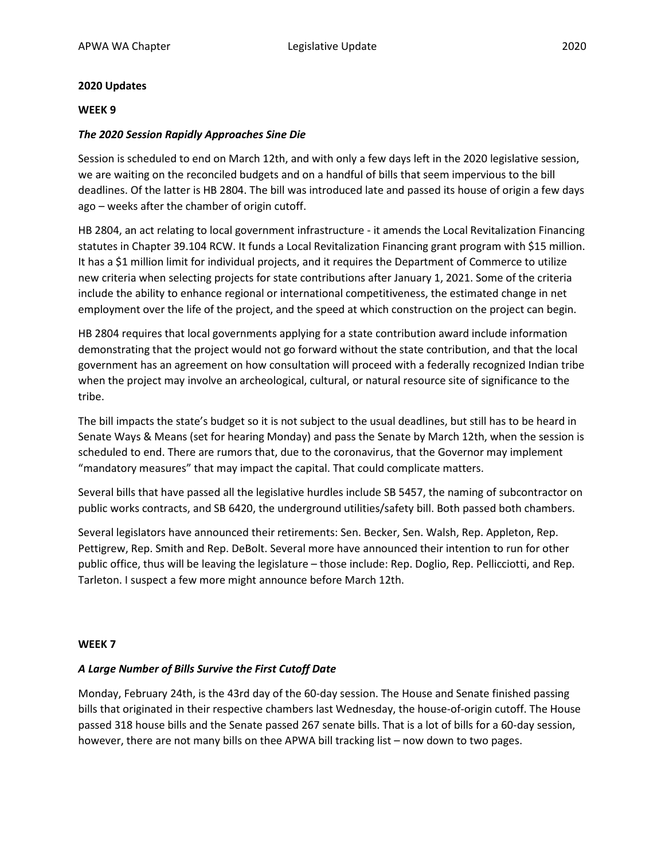## **2020 Updates**

## **WEEK 9**

## *The 2020 Session Rapidly Approaches Sine Die*

Session is scheduled to end on March 12th, and with only a few days left in the 2020 legislative session, we are waiting on the reconciled budgets and on a handful of bills that seem impervious to the bill deadlines. Of the latter is HB 2804. The bill was introduced late and passed its house of origin a few days ago – weeks after the chamber of origin cutoff.

HB 2804, an act relating to local government infrastructure - it amends the Local Revitalization Financing statutes in Chapter 39.104 RCW. It funds a Local Revitalization Financing grant program with \$15 million. It has a \$1 million limit for individual projects, and it requires the Department of Commerce to utilize new criteria when selecting projects for state contributions after January 1, 2021. Some of the criteria include the ability to enhance regional or international competitiveness, the estimated change in net employment over the life of the project, and the speed at which construction on the project can begin.

HB 2804 requires that local governments applying for a state contribution award include information demonstrating that the project would not go forward without the state contribution, and that the local government has an agreement on how consultation will proceed with a federally recognized Indian tribe when the project may involve an archeological, cultural, or natural resource site of significance to the tribe.

The bill impacts the state's budget so it is not subject to the usual deadlines, but still has to be heard in Senate Ways & Means (set for hearing Monday) and pass the Senate by March 12th, when the session is scheduled to end. There are rumors that, due to the coronavirus, that the Governor may implement "mandatory measures" that may impact the capital. That could complicate matters.

Several bills that have passed all the legislative hurdles include SB 5457, the naming of subcontractor on public works contracts, and SB 6420, the underground utilities/safety bill. Both passed both chambers.

Several legislators have announced their retirements: Sen. Becker, Sen. Walsh, Rep. Appleton, Rep. Pettigrew, Rep. Smith and Rep. DeBolt. Several more have announced their intention to run for other public office, thus will be leaving the legislature – those include: Rep. Doglio, Rep. Pellicciotti, and Rep. Tarleton. I suspect a few more might announce before March 12th.

## **WEEK 7**

## *A Large Number of Bills Survive the First Cutoff Date*

Monday, February 24th, is the 43rd day of the 60-day session. The House and Senate finished passing bills that originated in their respective chambers last Wednesday, the house-of-origin cutoff. The House passed 318 house bills and the Senate passed 267 senate bills. That is a lot of bills for a 60-day session, however, there are not many bills on thee APWA bill tracking list – now down to two pages.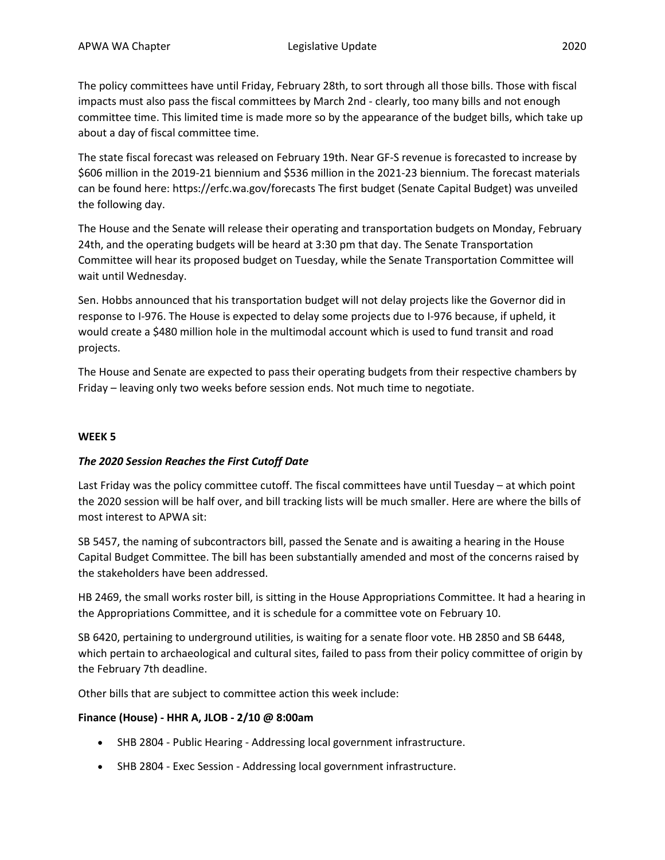The policy committees have until Friday, February 28th, to sort through all those bills. Those with fiscal impacts must also pass the fiscal committees by March 2nd - clearly, too many bills and not enough committee time. This limited time is made more so by the appearance of the budget bills, which take up about a day of fiscal committee time.

The state fiscal forecast was released on February 19th. Near GF-S revenue is forecasted to increase by \$606 million in the 2019-21 biennium and \$536 million in the 2021-23 biennium. The forecast materials can be found here: https://erfc.wa.gov/forecasts The first budget (Senate Capital Budget) was unveiled the following day.

The House and the Senate will release their operating and transportation budgets on Monday, February 24th, and the operating budgets will be heard at 3:30 pm that day. The Senate Transportation Committee will hear its proposed budget on Tuesday, while the Senate Transportation Committee will wait until Wednesday.

Sen. Hobbs announced that his transportation budget will not delay projects like the Governor did in response to I-976. The House is expected to delay some projects due to I-976 because, if upheld, it would create a \$480 million hole in the multimodal account which is used to fund transit and road projects.

The House and Senate are expected to pass their operating budgets from their respective chambers by Friday – leaving only two weeks before session ends. Not much time to negotiate.

# **WEEK 5**

# *The 2020 Session Reaches the First Cutoff Date*

Last Friday was the policy committee cutoff. The fiscal committees have until Tuesday – at which point the 2020 session will be half over, and bill tracking lists will be much smaller. Here are where the bills of most interest to APWA sit:

SB 5457, the naming of subcontractors bill, passed the Senate and is awaiting a hearing in the House Capital Budget Committee. The bill has been substantially amended and most of the concerns raised by the stakeholders have been addressed.

HB 2469, the small works roster bill, is sitting in the House Appropriations Committee. It had a hearing in the Appropriations Committee, and it is schedule for a committee vote on February 10.

SB 6420, pertaining to underground utilities, is waiting for a senate floor vote. HB 2850 and SB 6448, which pertain to archaeological and cultural sites, failed to pass from their policy committee of origin by the February 7th deadline.

Other bills that are subject to committee action this week include:

# **Finance (House) - HHR A, JLOB - 2/10 @ 8:00am**

- SHB 2804 Public Hearing Addressing local government infrastructure.
- SHB 2804 Exec Session Addressing local government infrastructure.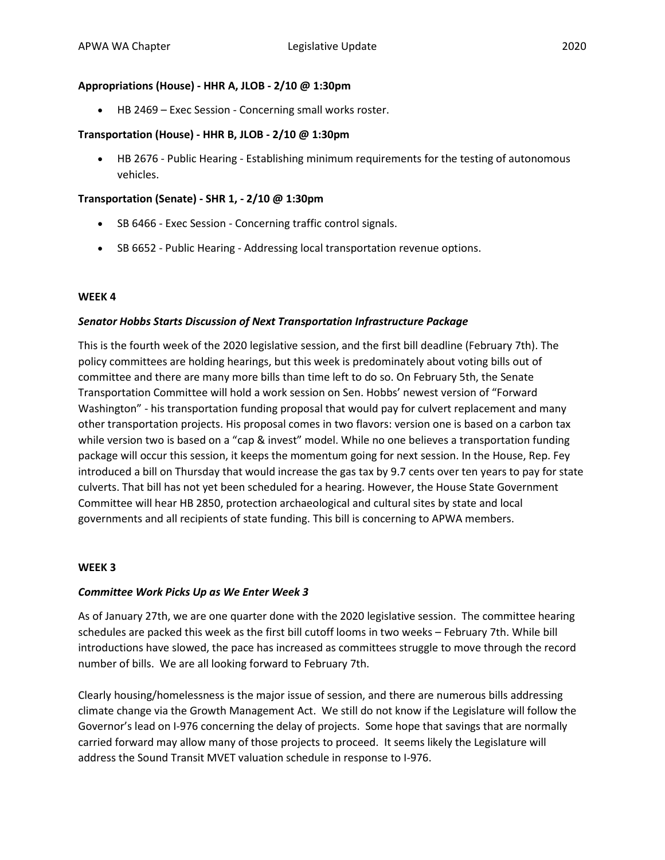# **Appropriations (House) - HHR A, JLOB - 2/10 @ 1:30pm**

• HB 2469 – Exec Session - Concerning small works roster.

## **Transportation (House) - HHR B, JLOB - 2/10 @ 1:30pm**

• HB 2676 - Public Hearing - Establishing minimum requirements for the testing of autonomous vehicles.

## **Transportation (Senate) - SHR 1, - 2/10 @ 1:30pm**

- SB 6466 Exec Session Concerning traffic control signals.
- SB 6652 Public Hearing Addressing local transportation revenue options.

## **WEEK 4**

## *Senator Hobbs Starts Discussion of Next Transportation Infrastructure Package*

This is the fourth week of the 2020 legislative session, and the first bill deadline (February 7th). The policy committees are holding hearings, but this week is predominately about voting bills out of committee and there are many more bills than time left to do so. On February 5th, the Senate Transportation Committee will hold a work session on Sen. Hobbs' newest version of "Forward Washington" - his transportation funding proposal that would pay for culvert replacement and many other transportation projects. His proposal comes in two flavors: version one is based on a carbon tax while version two is based on a "cap & invest" model. While no one believes a transportation funding package will occur this session, it keeps the momentum going for next session. In the House, Rep. Fey introduced a bill on Thursday that would increase the gas tax by 9.7 cents over ten years to pay for state culverts. That bill has not yet been scheduled for a hearing. However, the House State Government Committee will hear HB 2850, protection archaeological and cultural sites by state and local governments and all recipients of state funding. This bill is concerning to APWA members.

## **WEEK 3**

## *Committee Work Picks Up as We Enter Week 3*

As of January 27th, we are one quarter done with the 2020 legislative session. The committee hearing schedules are packed this week as the first bill cutoff looms in two weeks – February 7th. While bill introductions have slowed, the pace has increased as committees struggle to move through the record number of bills. We are all looking forward to February 7th.

Clearly housing/homelessness is the major issue of session, and there are numerous bills addressing climate change via the Growth Management Act. We still do not know if the Legislature will follow the Governor's lead on I-976 concerning the delay of projects. Some hope that savings that are normally carried forward may allow many of those projects to proceed. It seems likely the Legislature will address the Sound Transit MVET valuation schedule in response to I-976.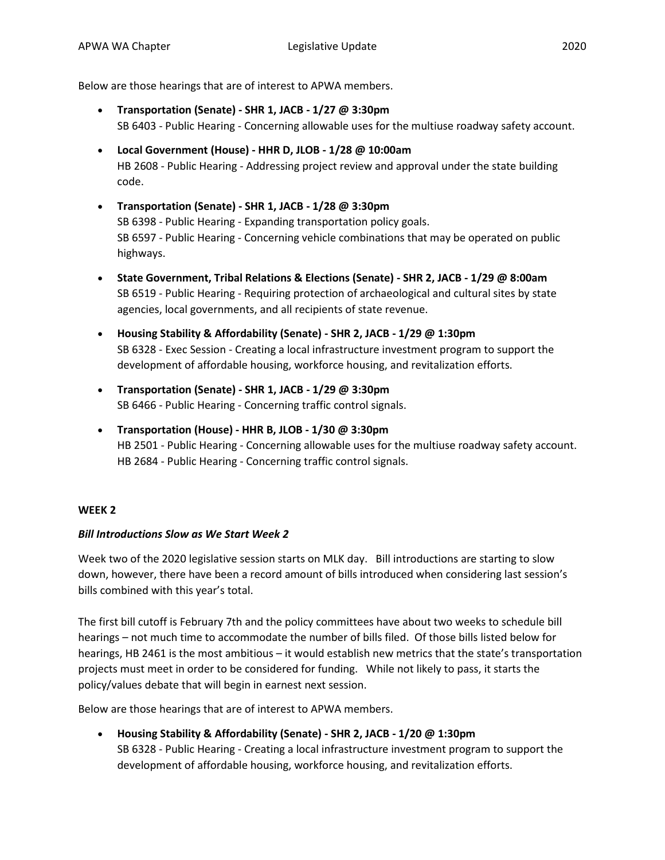Below are those hearings that are of interest to APWA members.

- **Transportation (Senate) - SHR 1, JACB - 1/27 @ 3:30pm** SB 6403 - Public Hearing - Concerning allowable uses for the multiuse roadway safety account.
- **Local Government (House) - HHR D, JLOB - 1/28 @ 10:00am** HB 2608 - Public Hearing - Addressing project review and approval under the state building code.
- **Transportation (Senate) - SHR 1, JACB - 1/28 @ 3:30pm** SB 6398 - Public Hearing - Expanding transportation policy goals. SB 6597 - Public Hearing - Concerning vehicle combinations that may be operated on public highways.
- **State Government, Tribal Relations & Elections (Senate) - SHR 2, JACB - 1/29 @ 8:00am** SB 6519 - Public Hearing - Requiring protection of archaeological and cultural sites by state agencies, local governments, and all recipients of state revenue.
- **Housing Stability & Affordability (Senate) - SHR 2, JACB - 1/29 @ 1:30pm** SB 6328 - Exec Session - Creating a local infrastructure investment program to support the development of affordable housing, workforce housing, and revitalization efforts.
- **Transportation (Senate) - SHR 1, JACB - 1/29 @ 3:30pm** SB 6466 - Public Hearing - Concerning traffic control signals.
- **Transportation (House) - HHR B, JLOB - 1/30 @ 3:30pm** HB 2501 - Public Hearing - Concerning allowable uses for the multiuse roadway safety account. HB 2684 - Public Hearing - Concerning traffic control signals.

# **WEEK 2**

# *Bill Introductions Slow as We Start Week 2*

Week two of the 2020 legislative session starts on MLK day. Bill introductions are starting to slow down, however, there have been a record amount of bills introduced when considering last session's bills combined with this year's total.

The first bill cutoff is February 7th and the policy committees have about two weeks to schedule bill hearings – not much time to accommodate the number of bills filed. Of those bills listed below for hearings, HB 2461 is the most ambitious – it would establish new metrics that the state's transportation projects must meet in order to be considered for funding. While not likely to pass, it starts the policy/values debate that will begin in earnest next session.

Below are those hearings that are of interest to APWA members.

• **Housing Stability & Affordability (Senate) - SHR 2, JACB - 1/20 @ 1:30pm** SB 6328 - Public Hearing - Creating a local infrastructure investment program to support the development of affordable housing, workforce housing, and revitalization efforts.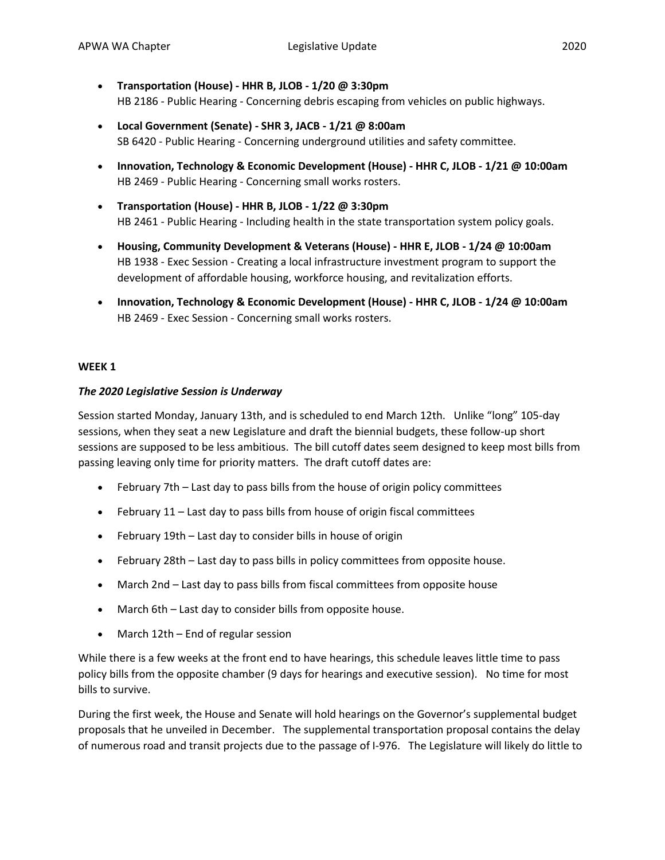- **Transportation (House) - HHR B, JLOB - 1/20 @ 3:30pm** HB 2186 - Public Hearing - Concerning debris escaping from vehicles on public highways.
- **Local Government (Senate) - SHR 3, JACB - 1/21 @ 8:00am** SB 6420 - Public Hearing - Concerning underground utilities and safety committee.
- **Innovation, Technology & Economic Development (House) - HHR C, JLOB - 1/21 @ 10:00am** HB 2469 - Public Hearing - Concerning small works rosters.
- **Transportation (House) - HHR B, JLOB - 1/22 @ 3:30pm** HB 2461 - Public Hearing - Including health in the state transportation system policy goals.
- **Housing, Community Development & Veterans (House) - HHR E, JLOB - 1/24 @ 10:00am** HB 1938 - Exec Session - Creating a local infrastructure investment program to support the development of affordable housing, workforce housing, and revitalization efforts.
- **Innovation, Technology & Economic Development (House) - HHR C, JLOB - 1/24 @ 10:00am** HB 2469 - Exec Session - Concerning small works rosters.

# **WEEK 1**

# *The 2020 Legislative Session is Underway*

Session started Monday, January 13th, and is scheduled to end March 12th. Unlike "long" 105-day sessions, when they seat a new Legislature and draft the biennial budgets, these follow-up short sessions are supposed to be less ambitious. The bill cutoff dates seem designed to keep most bills from passing leaving only time for priority matters. The draft cutoff dates are:

- February 7th Last day to pass bills from the house of origin policy committees
- February 11 Last day to pass bills from house of origin fiscal committees
- February 19th Last day to consider bills in house of origin
- February 28th Last day to pass bills in policy committees from opposite house.
- March 2nd Last day to pass bills from fiscal committees from opposite house
- March 6th Last day to consider bills from opposite house.
- March 12th End of regular session

While there is a few weeks at the front end to have hearings, this schedule leaves little time to pass policy bills from the opposite chamber (9 days for hearings and executive session). No time for most bills to survive.

During the first week, the House and Senate will hold hearings on the Governor's supplemental budget proposals that he unveiled in December. The supplemental transportation proposal contains the delay of numerous road and transit projects due to the passage of I-976. The Legislature will likely do little to